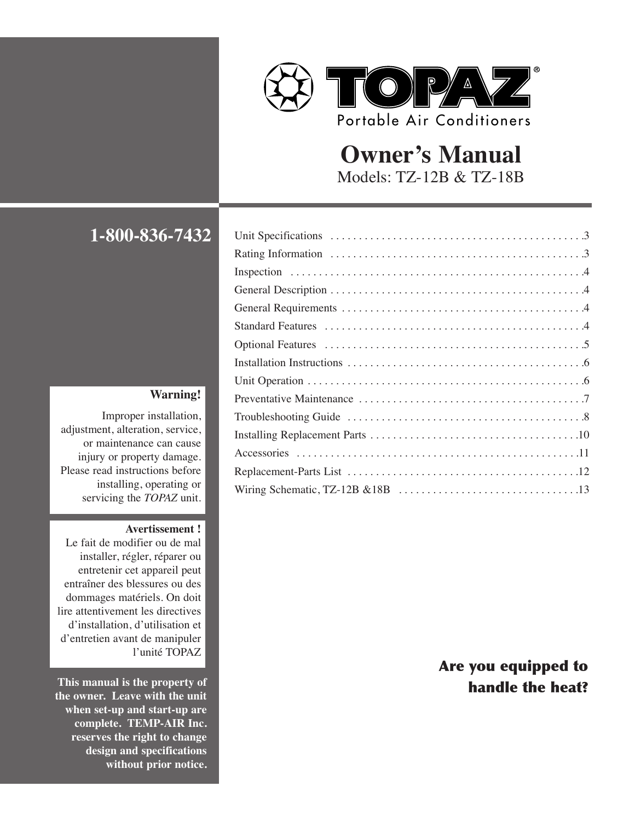

# **Owner's Manual** Models: TZ-12B & TZ-18B

# **1-800-836-7432**

#### **Warning!**

Improper installation, adjustment, alteration, service, or maintenance can cause injury or property damage. Please read instructions before installing, operating or servicing the *TOPAZ* unit.

#### **Avertissement !**

Le fait de modifier ou de mal installer, régler, réparer ou entretenir cet appareil peut entraîner des blessures ou des dommages matériels. On doit lire attentivement les directives d'installation, d'utilisation et d'entretien avant de manipuler l'unité TOPAZ

**This manual is the property of the owner. Leave with the unit when set-up and start-up are complete. TEMP-AIR Inc. reserves the right to change design and specifications without prior notice.**

## Are you equipped to handle the heat?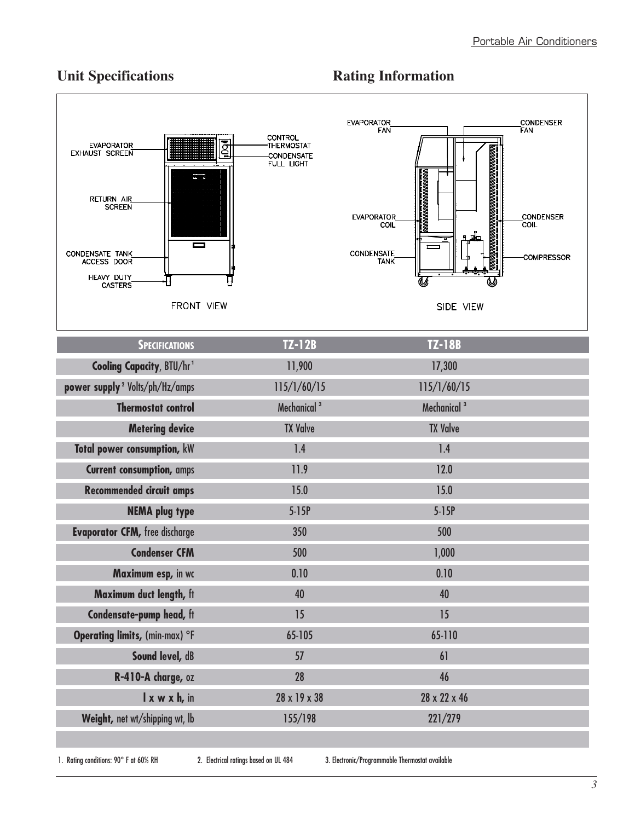## **Vnit Specifications Rating Information**



| <b>SPECIFICATIONS</b>                      | $TZ-12B$                | <b>TZ-18B</b>           |
|--------------------------------------------|-------------------------|-------------------------|
| <b>Cooling Capacity, BTU/hr1</b>           | 11,900                  | 17,300                  |
| power supply <sup>2</sup> Volts/ph/Hz/amps | 115/1/60/15             | 115/1/60/15             |
| <b>Thermostat control</b>                  | Mechanical <sup>3</sup> | Mechanical <sup>3</sup> |
| <b>Metering device</b>                     | <b>TX Valve</b>         | <b>TX Valve</b>         |
| Total power consumption, kW                | 1.4                     | 1.4                     |
| <b>Current consumption, amps</b>           | 11.9                    | 12.0                    |
| <b>Recommended circuit amps</b>            | 15.0                    | 15.0                    |
| <b>NEMA plug type</b>                      | $5-15P$                 | $5-15P$                 |
| <b>Evaporator CFM, free discharge</b>      | 350                     | 500                     |
| <b>Condenser CFM</b>                       | 500                     | 1,000                   |
| Maximum esp, in wc                         | 0.10                    | 0.10                    |
| Maximum duct length, ft                    | 40                      | 40                      |
| Condensate-pump head, ft                   | 15                      | 15                      |
| Operating limits, (min-max) °F             | 65-105                  | 65-110                  |
| Sound level, dB                            | 57                      | 61                      |
| R-410-A charge, oz                         | 28                      | 46                      |
| I x w x h, in                              | 28 x 19 x 38            | 28 x 22 x 46            |
| Weight, net wt/shipping wt, lb             | 155/198                 | 221/279                 |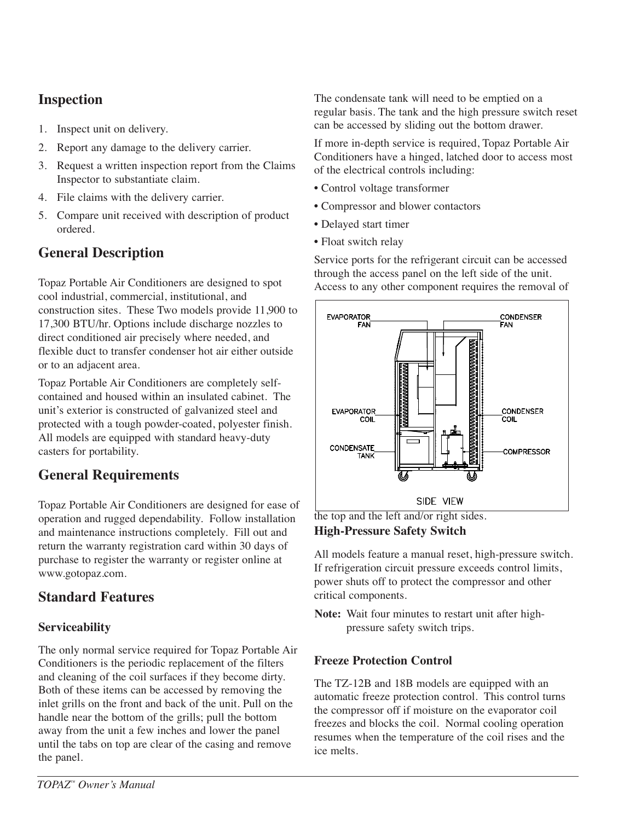## **Inspection**

- 1. Inspect unit on delivery.
- 2. Report any damage to the delivery carrier.
- 3. Request a written inspection report from the Claims Inspector to substantiate claim.
- 4. File claims with the delivery carrier.
- 5. Compare unit received with description of product ordered.

## **General Description**

Topaz Portable Air Conditioners are designed to spot cool industrial, commercial, institutional, and construction sites. These Two models provide 11,900 to 17,300 BTU/hr. Options include discharge nozzles to direct conditioned air precisely where needed, and flexible duct to transfer condenser hot air either outside or to an adjacent area.

Topaz Portable Air Conditioners are completely selfcontained and housed within an insulated cabinet. The unit's exterior is constructed of galvanized steel and protected with a tough powder-coated, polyester finish. All models are equipped with standard heavy-duty casters for portability.

## **General Requirements**

Topaz Portable Air Conditioners are designed for ease of operation and rugged dependability. Follow installation and maintenance instructions completely. Fill out and return the warranty registration card within 30 days of purchase to register the warranty or register online at www.gotopaz.com.

## **Standard Features**

## **Serviceability**

The only normal service required for Topaz Portable Air Conditioners is the periodic replacement of the filters and cleaning of the coil surfaces if they become dirty. Both of these items can be accessed by removing the inlet grills on the front and back of the unit. Pull on the handle near the bottom of the grills; pull the bottom away from the unit a few inches and lower the panel until the tabs on top are clear of the casing and remove the panel.

The condensate tank will need to be emptied on a regular basis. The tank and the high pressure switch reset can be accessed by sliding out the bottom drawer.

If more in-depth service is required, Topaz Portable Air Conditioners have a hinged, latched door to access most of the electrical controls including:

- Control voltage transformer
- Compressor and blower contactors
- Delayed start timer
- Float switch relay

Service ports for the refrigerant circuit can be accessed through the access panel on the left side of the unit. Access to any other component requires the removal of



the top and the left and/or right sides. **High-Pressure Safety Switch**

All models feature a manual reset, high-pressure switch. If refrigeration circuit pressure exceeds control limits, power shuts off to protect the compressor and other critical components.

**Note:** Wait four minutes to restart unit after highpressure safety switch trips.

## **Freeze Protection Control**

The TZ-12B and 18B models are equipped with an automatic freeze protection control. This control turns the compressor off if moisture on the evaporator coil freezes and blocks the coil. Normal cooling operation resumes when the temperature of the coil rises and the ice melts.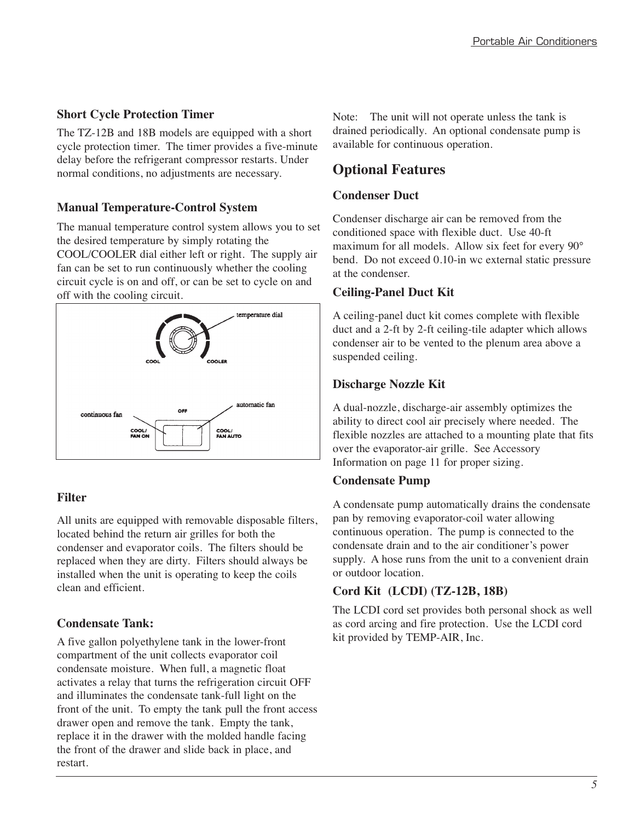### **Short Cycle Protection Timer**

The TZ-12B and 18B models are equipped with a short cycle protection timer. The timer provides a five-minute delay before the refrigerant compressor restarts. Under normal conditions, no adjustments are necessary.

## **Manual Temperature-Control System**

The manual temperature control system allows you to set the desired temperature by simply rotating the COOL/COOLER dial either left or right. The supply air fan can be set to run continuously whether the cooling circuit cycle is on and off, or can be set to cycle on and off with the cooling circuit.



## **Filter**

All units are equipped with removable disposable filters, located behind the return air grilles for both the condenser and evaporator coils. The filters should be replaced when they are dirty. Filters should always be installed when the unit is operating to keep the coils clean and efficient.

## **Condensate Tank:**

A five gallon polyethylene tank in the lower-front compartment of the unit collects evaporator coil condensate moisture. When full, a magnetic float activates a relay that turns the refrigeration circuit OFF and illuminates the condensate tank-full light on the front of the unit. To empty the tank pull the front access drawer open and remove the tank. Empty the tank, replace it in the drawer with the molded handle facing the front of the drawer and slide back in place, and restart.

Note: The unit will not operate unless the tank is drained periodically. An optional condensate pump is available for continuous operation.

## **Optional Features**

### **Condenser Duct**

Condenser discharge air can be removed from the conditioned space with flexible duct. Use 40-ft maximum for all models. Allow six feet for every 90° bend. Do not exceed 0.10-in wc external static pressure at the condenser.

#### **Ceiling-Panel Duct Kit**

A ceiling-panel duct kit comes complete with flexible duct and a 2-ft by 2-ft ceiling-tile adapter which allows condenser air to be vented to the plenum area above a suspended ceiling.

#### **Discharge Nozzle Kit**

A dual-nozzle, discharge-air assembly optimizes the ability to direct cool air precisely where needed. The flexible nozzles are attached to a mounting plate that fits over the evaporator-air grille. See Accessory Information on page 11 for proper sizing.

## **Condensate Pump**

A condensate pump automatically drains the condensate pan by removing evaporator-coil water allowing continuous operation. The pump is connected to the condensate drain and to the air conditioner's power supply. A hose runs from the unit to a convenient drain or outdoor location.

## **Cord Kit (LCDI) (TZ-12B, 18B)**

The LCDI cord set provides both personal shock as well as cord arcing and fire protection. Use the LCDI cord kit provided by TEMP-AIR, Inc.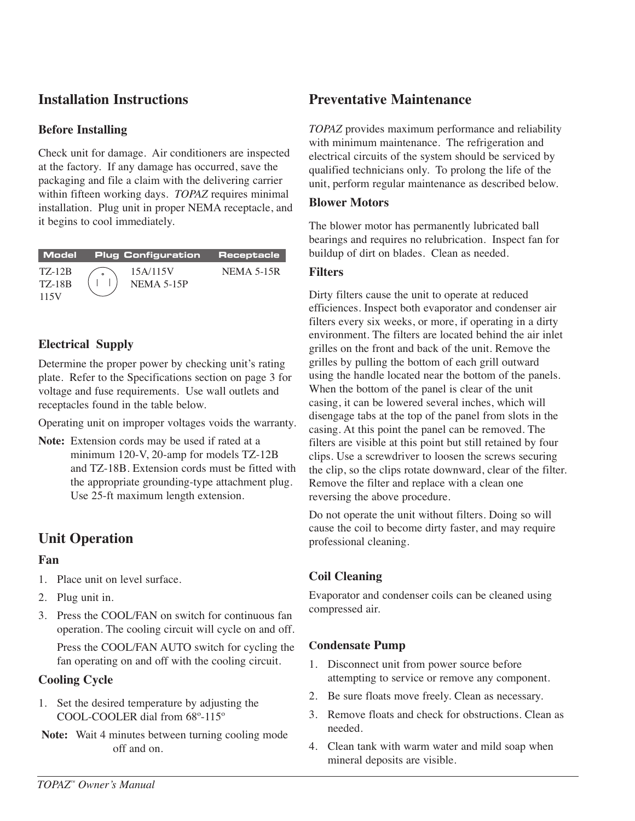## **Installation Instructions**

#### **Before Installing**

Check unit for damage. Air conditioners are inspected at the factory. If any damage has occurred, save the packaging and file a claim with the delivering carrier within fifteen working days. *TOPAZ* requires minimal installation. Plug unit in proper NEMA receptacle, and it begins to cool immediately.

|                                        | Model Plug-Configuration Receptacle |            |
|----------------------------------------|-------------------------------------|------------|
| <b>TZ-12B</b><br><b>TZ-18B</b><br>115V | 15A/115V<br>$NEMA$ 5-15P            | NEMA 5-15R |

## **Electrical Supply**

Determine the proper power by checking unit's rating plate. Refer to the Specifications section on page 3 for voltage and fuse requirements. Use wall outlets and receptacles found in the table below.

Operating unit on improper voltages voids the warranty.

**Note:** Extension cords may be used if rated at a minimum 120-V, 20-amp for models TZ-12B and TZ-18B. Extension cords must be fitted with the appropriate grounding-type attachment plug. Use 25-ft maximum length extension.

## **Unit Operation**

#### **Fan**

- 1. Place unit on level surface.
- 2. Plug unit in.
- 3. Press the COOL/FAN on switch for continuous fan operation. The cooling circuit will cycle on and off.

Press the COOL/FAN AUTO switch for cycling the fan operating on and off with the cooling circuit.

## **Cooling Cycle**

- 1. Set the desired temperature by adjusting the COOL-COOLER dial from 68º-115º
- **Note:** Wait 4 minutes between turning cooling mode off and on.

## **Preventative Maintenance**

*TOPAZ* provides maximum performance and reliability with minimum maintenance. The refrigeration and electrical circuits of the system should be serviced by qualified technicians only. To prolong the life of the unit, perform regular maintenance as described below.

#### **Blower Motors**

The blower motor has permanently lubricated ball bearings and requires no relubrication. Inspect fan for buildup of dirt on blades. Clean as needed.

#### **Filters**

Dirty filters cause the unit to operate at reduced efficiences. Inspect both evaporator and condenser air filters every six weeks, or more, if operating in a dirty environment. The filters are located behind the air inlet grilles on the front and back of the unit. Remove the grilles by pulling the bottom of each grill outward using the handle located near the bottom of the panels. When the bottom of the panel is clear of the unit casing, it can be lowered several inches, which will disengage tabs at the top of the panel from slots in the casing. At this point the panel can be removed. The filters are visible at this point but still retained by four clips. Use a screwdriver to loosen the screws securing the clip, so the clips rotate downward, clear of the filter. Remove the filter and replace with a clean one reversing the above procedure.

Do not operate the unit without filters. Doing so will cause the coil to become dirty faster, and may require professional cleaning.

## **Coil Cleaning**

Evaporator and condenser coils can be cleaned using compressed air.

## **Condensate Pump**

- 1. Disconnect unit from power source before attempting to service or remove any component.
- 2. Be sure floats move freely. Clean as necessary.
- 3. Remove floats and check for obstructions. Clean as needed.
- 4. Clean tank with warm water and mild soap when mineral deposits are visible.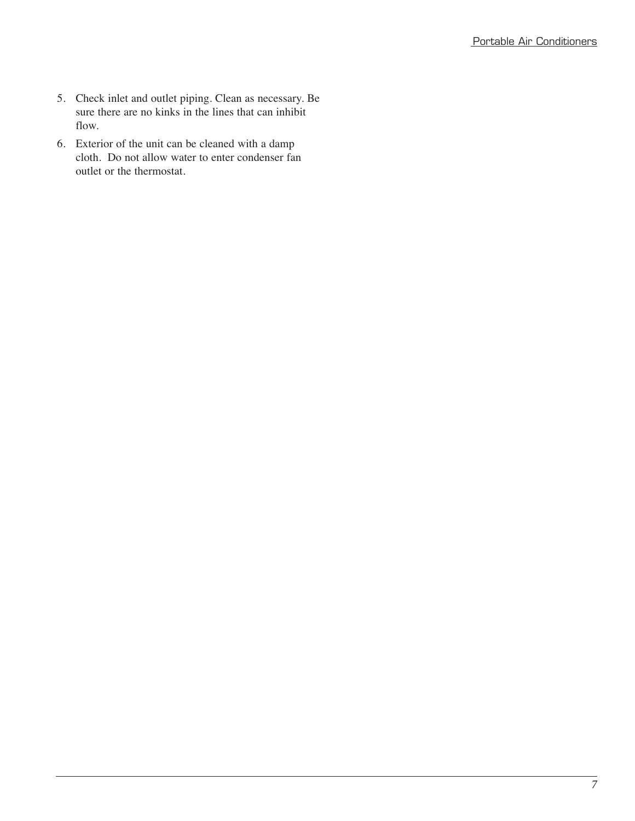- 5. Check inlet and outlet piping. Clean as necessary. Be sure there are no kinks in the lines that can inhibit flow.
- 6. Exterior of the unit can be cleaned with a damp cloth. Do not allow water to enter condenser fan outlet or the thermostat.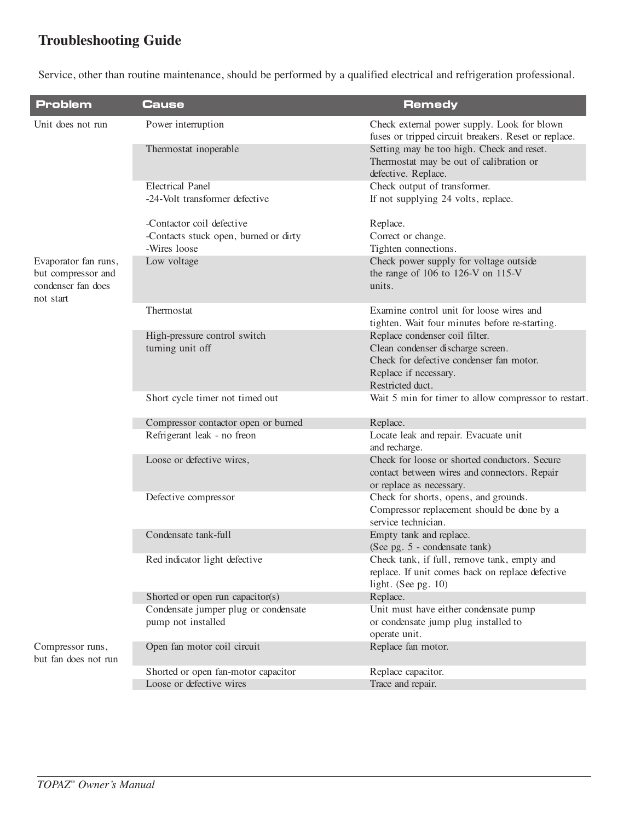## **Troubleshooting Guide**

Service, other than routine maintenance, should be performed by a qualified electrical and refrigeration professional.

| <b>Problem</b>                                        | <b>Cause</b>                          | <b>Remedy</b>                                                                                               |  |
|-------------------------------------------------------|---------------------------------------|-------------------------------------------------------------------------------------------------------------|--|
| Unit does not run                                     | Power interruption                    | Check external power supply. Look for blown<br>fuses or tripped circuit breakers. Reset or replace.         |  |
|                                                       | Thermostat inoperable                 | Setting may be too high. Check and reset.<br>Thermostat may be out of calibration or<br>defective. Replace. |  |
|                                                       | <b>Electrical Panel</b>               | Check output of transformer.                                                                                |  |
|                                                       | -24-Volt transformer defective        | If not supplying 24 volts, replace.                                                                         |  |
|                                                       | -Contactor coil defective             | Replace.                                                                                                    |  |
|                                                       | -Contacts stuck open, burned or dirty | Correct or change.                                                                                          |  |
|                                                       | -Wires loose                          | Tighten connections.                                                                                        |  |
| Evaporator fan runs,                                  | Low voltage                           | Check power supply for voltage outside                                                                      |  |
| but compressor and<br>condenser fan does<br>not start |                                       | the range of 106 to 126-V on 115-V<br>units.                                                                |  |
|                                                       | Thermostat                            | Examine control unit for loose wires and<br>tighten. Wait four minutes before re-starting.                  |  |
|                                                       | High-pressure control switch          | Replace condenser coil filter.                                                                              |  |
|                                                       | turning unit off                      | Clean condenser discharge screen.                                                                           |  |
|                                                       |                                       | Check for defective condenser fan motor.                                                                    |  |
|                                                       |                                       | Replace if necessary.                                                                                       |  |
|                                                       |                                       | Restricted duct.                                                                                            |  |
|                                                       |                                       |                                                                                                             |  |
|                                                       | Short cycle timer not timed out       | Wait 5 min for timer to allow compressor to restart.                                                        |  |
|                                                       | Compressor contactor open or burned   | Replace.                                                                                                    |  |
|                                                       | Refrigerant leak - no freon           | Locate leak and repair. Evacuate unit<br>and recharge.                                                      |  |
|                                                       | Loose or defective wires,             | Check for loose or shorted conductors. Secure                                                               |  |
|                                                       |                                       | contact between wires and connectors. Repair<br>or replace as necessary.                                    |  |
|                                                       | Defective compressor                  | Check for shorts, opens, and grounds.                                                                       |  |
|                                                       |                                       | Compressor replacement should be done by a<br>service technician.                                           |  |
|                                                       | Condensate tank-full                  | Empty tank and replace.<br>(See pg. 5 - condensate tank)                                                    |  |
|                                                       | Red indicator light defective         | Check tank, if full, remove tank, empty and                                                                 |  |
|                                                       |                                       | replace. If unit comes back on replace defective                                                            |  |
|                                                       |                                       | light. (See pg. $10$ )                                                                                      |  |
|                                                       | Shorted or open run capacitor(s)      | Replace.                                                                                                    |  |
|                                                       | Condensate jumper plug or condensate  | Unit must have either condensate pump                                                                       |  |
|                                                       | pump not installed                    | or condensate jump plug installed to<br>operate unit.                                                       |  |
| Compressor runs,<br>but fan does not run              | Open fan motor coil circuit           | Replace fan motor.                                                                                          |  |
|                                                       | Shorted or open fan-motor capacitor   | Replace capacitor.                                                                                          |  |
|                                                       | Loose or defective wires              | Trace and repair.                                                                                           |  |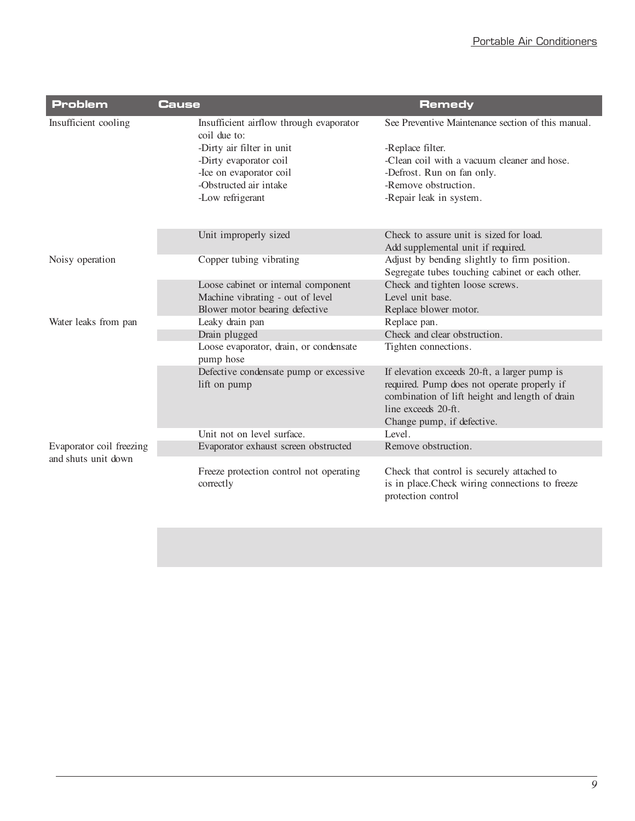| <b>Problem</b>                                  | Cause                                                   | <b>Remedy</b>                                                                                                                                                                                      |
|-------------------------------------------------|---------------------------------------------------------|----------------------------------------------------------------------------------------------------------------------------------------------------------------------------------------------------|
| Insufficient cooling                            | Insufficient airflow through evaporator<br>coil due to: | See Preventive Maintenance section of this manual.                                                                                                                                                 |
|                                                 | -Dirty air filter in unit                               | -Replace filter.                                                                                                                                                                                   |
|                                                 | -Dirty evaporator coil                                  | -Clean coil with a vacuum cleaner and hose.                                                                                                                                                        |
|                                                 | -Ice on evaporator coil                                 | -Defrost. Run on fan only.                                                                                                                                                                         |
|                                                 | -Obstructed air intake                                  | -Remove obstruction.                                                                                                                                                                               |
|                                                 | -Low refrigerant                                        | -Repair leak in system.                                                                                                                                                                            |
|                                                 | Unit improperly sized                                   | Check to assure unit is sized for load.                                                                                                                                                            |
|                                                 |                                                         | Add supplemental unit if required.                                                                                                                                                                 |
| Noisy operation                                 | Copper tubing vibrating                                 | Adjust by bending slightly to firm position.                                                                                                                                                       |
|                                                 |                                                         | Segregate tubes touching cabinet or each other.                                                                                                                                                    |
|                                                 | Loose cabinet or internal component                     | Check and tighten loose screws.                                                                                                                                                                    |
|                                                 | Machine vibrating - out of level                        | Level unit base.                                                                                                                                                                                   |
|                                                 | Blower motor bearing defective                          | Replace blower motor.                                                                                                                                                                              |
| Water leaks from pan                            | Leaky drain pan                                         | Replace pan.                                                                                                                                                                                       |
|                                                 | Drain plugged                                           | Check and clear obstruction.                                                                                                                                                                       |
|                                                 | Loose evaporator, drain, or condensate<br>pump hose     | Tighten connections.                                                                                                                                                                               |
|                                                 | Defective condensate pump or excessive<br>lift on pump  | If elevation exceeds 20-ft, a larger pump is<br>required. Pump does not operate properly if<br>combination of lift height and length of drain<br>line exceeds 20-ft.<br>Change pump, if defective. |
|                                                 | Unit not on level surface.                              | Level.                                                                                                                                                                                             |
| Evaporator coil freezing<br>and shuts unit down | Evaporator exhaust screen obstructed                    | Remove obstruction.                                                                                                                                                                                |
|                                                 | Freeze protection control not operating<br>correctly    | Check that control is securely attached to<br>is in place. Check wiring connections to freeze<br>protection control                                                                                |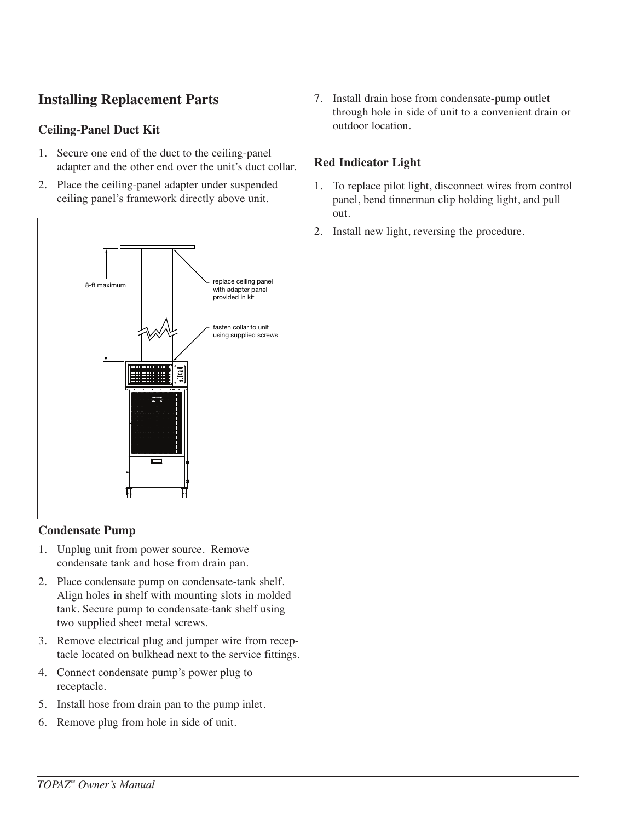## **Installing Replacement Parts**

### **Ceiling-Panel Duct Kit**

- 1. Secure one end of the duct to the ceiling-panel adapter and the other end over the unit's duct collar.
- 2. Place the ceiling-panel adapter under suspended ceiling panel's framework directly above unit.



#### **Condensate Pump**

- 1. Unplug unit from power source. Remove condensate tank and hose from drain pan.
- 2. Place condensate pump on condensate-tank shelf. Align holes in shelf with mounting slots in molded tank. Secure pump to condensate-tank shelf using two supplied sheet metal screws.
- 3. Remove electrical plug and jumper wire from receptacle located on bulkhead next to the service fittings.
- 4. Connect condensate pump's power plug to receptacle.
- 5. Install hose from drain pan to the pump inlet.
- 6. Remove plug from hole in side of unit.

7. Install drain hose from condensate-pump outlet through hole in side of unit to a convenient drain or outdoor location.

#### **Red Indicator Light**

- 1. To replace pilot light, disconnect wires from control panel, bend tinnerman clip holding light, and pull out.
- 2. Install new light, reversing the procedure.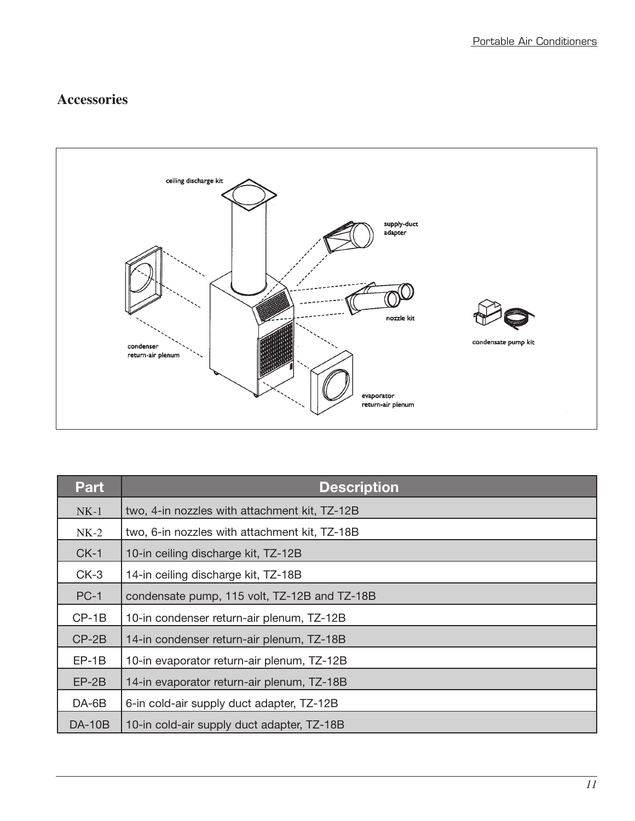## **Accessories**



| <b>Part</b>   | <b>Description</b>                            |
|---------------|-----------------------------------------------|
| $NK-1$        | two, 4-in nozzles with attachment kit, TZ-12B |
| $NK-2$        | two, 6-in nozzles with attachment kit, TZ-18B |
| $CK-1$        | 10-in ceiling discharge kit, TZ-12B           |
| $CK-3$        | 14-in ceiling discharge kit, TZ-18B           |
| $PC-1$        | condensate pump, 115 volt, TZ-12B and TZ-18B  |
| $CP-1B$       | 10-in condenser return-air plenum, TZ-12B     |
| $CP-2B$       | 14-in condenser return-air plenum, TZ-18B     |
| $EP-1B$       | 10-in evaporator return-air plenum, TZ-12B    |
| $EP-2B$       | 14-in evaporator return-air plenum, TZ-18B    |
| $DA-6B$       | 6-in cold-air supply duct adapter, TZ-12B     |
| <b>DA-10B</b> | 10-in cold-air supply duct adapter, TZ-18B    |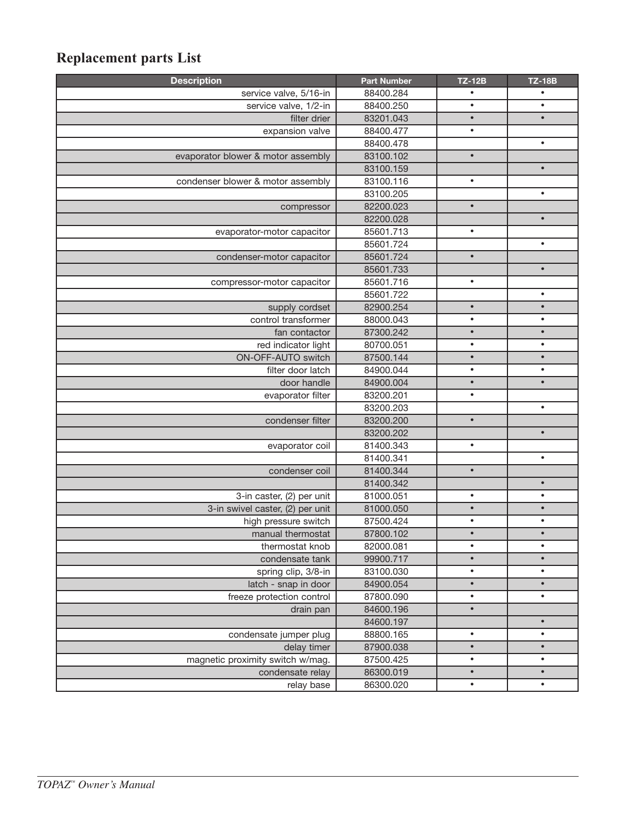# **Replacement parts List**

| <b>Description</b>                 | <b>Part Number</b> | <b>TZ-12B</b> | <b>TZ-18B</b> |
|------------------------------------|--------------------|---------------|---------------|
| service valve, 5/16-in             | 88400.284          |               |               |
| service valve, 1/2-in              | 88400.250          |               | $\bullet$     |
| filter drier                       | 83201.043          | $\bullet$     | $\bullet$     |
| expansion valve                    | 88400.477          | $\bullet$     |               |
|                                    | 88400.478          |               | $\bullet$     |
| evaporator blower & motor assembly | 83100.102          | $\bullet$     |               |
|                                    | 83100.159          |               | $\bullet$     |
| condenser blower & motor assembly  | 83100.116          | $\bullet$     |               |
|                                    | 83100.205          |               | $\bullet$     |
| compressor                         | 82200.023          | $\bullet$     |               |
|                                    | 82200.028          |               | $\bullet$     |
| evaporator-motor capacitor         | 85601.713          | $\bullet$     |               |
|                                    | 85601.724          |               | $\bullet$     |
| condenser-motor capacitor          | 85601.724          | $\bullet$     |               |
|                                    | 85601.733          |               | $\bullet$     |
| compressor-motor capacitor         | 85601.716          | $\bullet$     |               |
|                                    | 85601.722          |               | $\bullet$     |
| supply cordset                     | 82900.254          | $\bullet$     | $\bullet$     |
| control transformer                | 88000.043          | $\bullet$     | $\bullet$     |
| fan contactor                      | 87300.242          | $\bullet$     | $\bullet$     |
| red indicator light                | 80700.051          | $\bullet$     | $\bullet$     |
| ON-OFF-AUTO switch                 | 87500.144          | $\bullet$     | $\bullet$     |
| filter door latch                  | 84900.044          | $\bullet$     | $\bullet$     |
| door handle                        | 84900.004          | $\bullet$     | $\bullet$     |
| evaporator filter                  | 83200.201          | $\bullet$     |               |
|                                    | 83200.203          |               | $\bullet$     |
| condenser filter                   | 83200.200          | $\bullet$     |               |
|                                    | 83200.202          |               | $\bullet$     |
| evaporator coil                    | 81400.343          | $\bullet$     |               |
|                                    | 81400.341          |               | $\bullet$     |
| condenser coil                     | 81400.344          | $\bullet$     |               |
|                                    | 81400.342          |               | $\bullet$     |
| 3-in caster, (2) per unit          | 81000.051          | $\bullet$     | $\bullet$     |
| 3-in swivel caster, (2) per unit   | 81000.050          | $\bullet$     | $\bullet$     |
| high pressure switch               | 87500.424          | $\bullet$     | $\bullet$     |
| manual thermostat                  | 87800.102          | $\bullet$     | $\bullet$     |
| thermostat knob                    | 82000.081          | $\bullet$     | $\bullet$     |
| condensate tank                    | 99900.717          |               |               |
| spring clip, 3/8-in                | 83100.030          | $\bullet$     |               |
| latch - snap in door               | 84900.054          | $\bullet$     | $\bullet$     |
| freeze protection control          | 87800.090          | $\bullet$     | $\bullet$     |
| drain pan                          | 84600.196          | $\bullet$     |               |
|                                    | 84600.197          |               | $\bullet$     |
| condensate jumper plug             | 88800.165          | $\bullet$     | $\bullet$     |
| delay timer                        | 87900.038          | $\bullet$     | $\bullet$     |
| magnetic proximity switch w/mag.   | 87500.425          | $\bullet$     | $\bullet$     |
| condensate relay                   | 86300.019          | $\bullet$     | $\bullet$     |
| relay base                         | 86300.020          | $\bullet$     | $\bullet$     |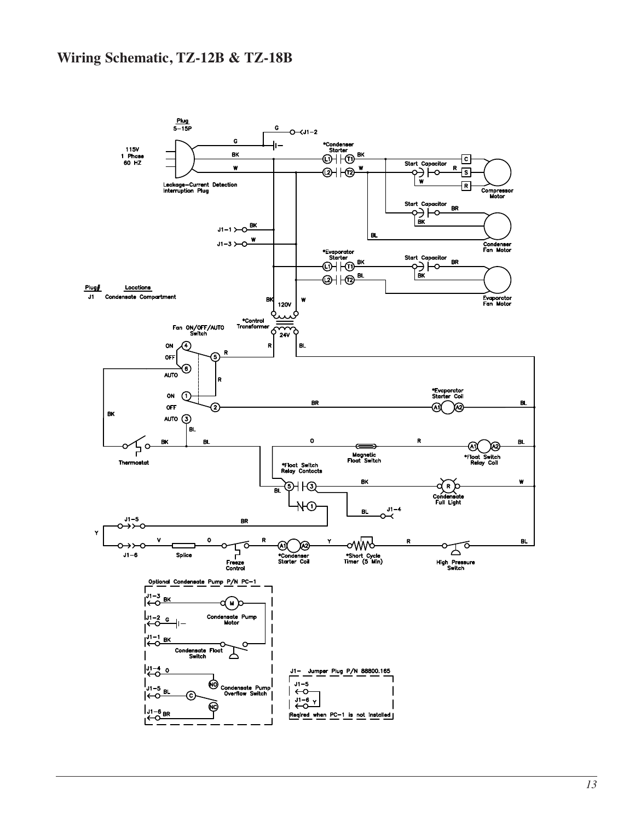## **Wiring Schematic, TZ-12B & TZ-18B**